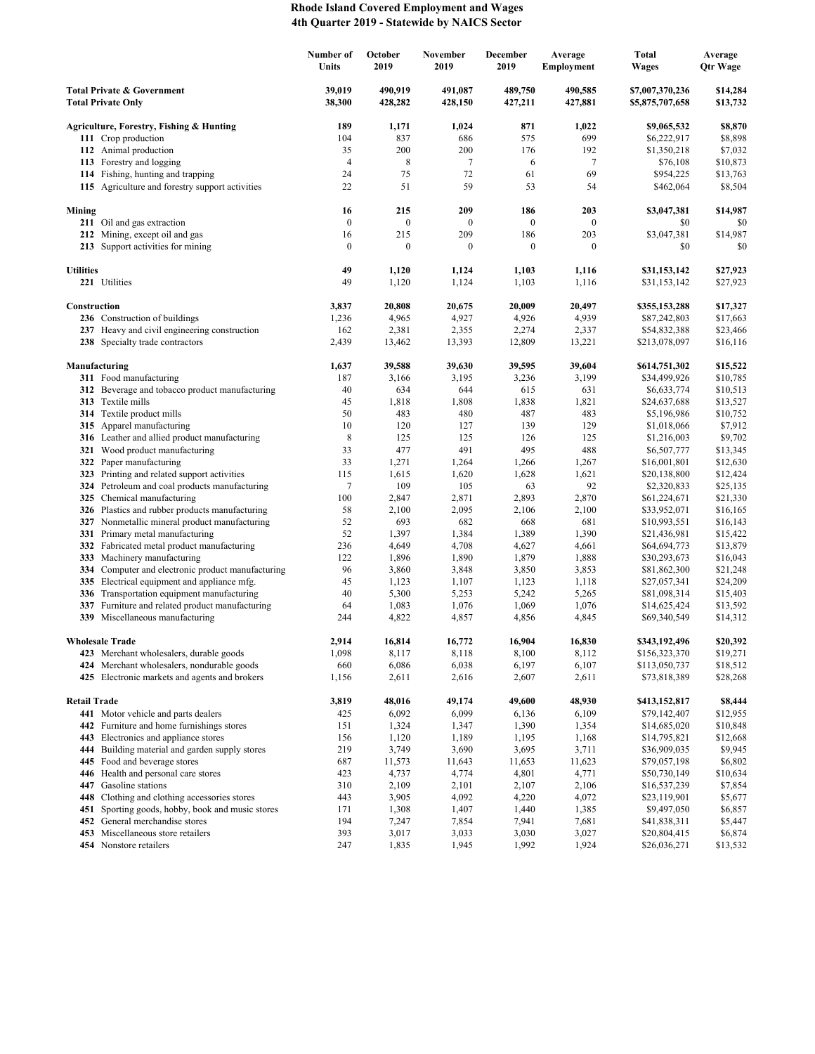## **Rhode Island Covered Employment and Wages 4th Quarter 2019 - Statewide by NAICS Sector**

|                                                                    |                                                                                    | Number of<br>Units | October<br>2019    | November<br>2019   | December<br>2019   | Average<br><b>Employment</b> | <b>Total</b><br><b>Wages</b>       | Average<br>Qtr Wage  |
|--------------------------------------------------------------------|------------------------------------------------------------------------------------|--------------------|--------------------|--------------------|--------------------|------------------------------|------------------------------------|----------------------|
| <b>Total Private &amp; Government</b><br><b>Total Private Only</b> |                                                                                    | 39,019<br>38,300   | 490,919<br>428,282 | 491,087<br>428,150 | 489,750<br>427,211 | 490,585<br>427,881           | \$7,007,370,236<br>\$5,875,707,658 | \$14,284<br>\$13,732 |
|                                                                    | Agriculture, Forestry, Fishing & Hunting                                           | 189                | 1,171              | 1,024              | 871                | 1,022                        | \$9,065,532                        | \$8,870              |
|                                                                    | 111 Crop production                                                                | 104                | 837                | 686                | 575                | 699                          | \$6,222,917                        | \$8,898              |
|                                                                    | 112 Animal production                                                              | 35                 | 200                | 200                | 176                | 192                          | \$1,350,218                        | \$7,032              |
|                                                                    | 113 Forestry and logging                                                           | $\overline{4}$     | $\,$ 8 $\,$        | 7                  | 6                  | $\tau$                       | \$76,108                           | \$10,873             |
|                                                                    | 114 Fishing, hunting and trapping                                                  | 24                 | 75                 | 72                 | 61                 | 69                           | \$954,225                          | \$13,763             |
|                                                                    | 115 Agriculture and forestry support activities                                    | 22                 | 51                 | 59                 | 53                 | 54                           | \$462,064                          | \$8,504              |
| Mining                                                             |                                                                                    | 16                 | 215                | 209                | 186                | 203                          | \$3,047,381                        | \$14,987             |
|                                                                    | 211 Oil and gas extraction                                                         | $\boldsymbol{0}$   | $\boldsymbol{0}$   | $\boldsymbol{0}$   | $\mathbf{0}$       | $\mathbf{0}$                 | \$0                                | \$0                  |
|                                                                    | 212 Mining, except oil and gas                                                     | 16                 | 215                | 209                | 186                | 203                          | \$3,047,381                        | \$14,987             |
|                                                                    | 213 Support activities for mining                                                  | $\boldsymbol{0}$   | $\boldsymbol{0}$   | $\boldsymbol{0}$   | $\mathbf{0}$       | $\mathbf{0}$                 | \$0                                | \$0                  |
| <b>Utilities</b>                                                   |                                                                                    | 49                 | 1,120              | 1,124              | 1,103              | 1,116                        | \$31,153,142                       | \$27,923             |
|                                                                    | 221 Utilities                                                                      | 49                 | 1,120              | 1,124              | 1,103              | 1,116                        | \$31,153,142                       | \$27,923             |
| Construction                                                       |                                                                                    | 3,837              | 20,808             | 20,675             | 20,009             | 20,497                       | \$355,153,288                      | \$17,327             |
|                                                                    | 236 Construction of buildings                                                      | 1,236              | 4,965              | 4,927              | 4,926              | 4,939                        | \$87,242,803                       | \$17,663             |
|                                                                    | 237 Heavy and civil engineering construction                                       | 162                | 2,381              | 2,355              | 2,274              | 2,337                        | \$54,832,388                       | \$23,466             |
|                                                                    | 238 Specialty trade contractors                                                    | 2,439              | 13,462             | 13,393             | 12,809             | 13,221                       | \$213,078,097                      | \$16,116             |
|                                                                    | Manufacturing                                                                      | 1,637              | 39,588             | 39,630             | 39,595             | 39,604                       | \$614,751,302                      | \$15,522             |
|                                                                    | 311 Food manufacturing                                                             | 187                | 3,166              | 3,195              | 3,236              | 3,199                        | \$34,499,926                       | \$10,785             |
|                                                                    | 312 Beverage and tobacco product manufacturing                                     | 40                 | 634                | 644                | 615                | 631                          | \$6,633,774                        | \$10,513             |
|                                                                    | 313 Textile mills                                                                  | 45                 | 1,818              | 1,808              | 1,838              | 1,821                        | \$24,637,688                       | \$13,527             |
|                                                                    | 314 Textile product mills                                                          | 50                 | 483                | 480                | 487                | 483                          | \$5,196,986                        | \$10,752             |
|                                                                    | 315 Apparel manufacturing                                                          | 10                 | 120                | 127                | 139                | 129                          | \$1,018,066                        | \$7,912              |
|                                                                    | 316 Leather and allied product manufacturing                                       | 8                  | 125                | 125                | 126                | 125                          | \$1,216,003                        | \$9,702              |
|                                                                    | 321 Wood product manufacturing                                                     | 33                 | 477                | 491                | 495                | 488                          | \$6,507,777                        | \$13,345             |
|                                                                    | 322 Paper manufacturing<br>323 Printing and related support activities             | 33<br>115          | 1,271<br>1,615     | 1,264<br>1,620     | 1,266<br>1,628     | 1,267<br>1,621               | \$16,001,801<br>\$20,138,800       | \$12,630<br>\$12,424 |
|                                                                    | 324 Petroleum and coal products manufacturing                                      | 7                  | 109                | 105                | 63                 | 92                           | \$2,320,833                        | \$25,135             |
|                                                                    | 325 Chemical manufacturing                                                         | 100                | 2,847              | 2,871              | 2,893              | 2,870                        | \$61,224,671                       | \$21,330             |
|                                                                    | 326 Plastics and rubber products manufacturing                                     | 58                 | 2,100              | 2,095              | 2,106              | 2,100                        | \$33,952,071                       | \$16,165             |
|                                                                    | 327 Nonmetallic mineral product manufacturing                                      | 52                 | 693                | 682                | 668                | 681                          | \$10,993,551                       | \$16,143             |
|                                                                    | 331 Primary metal manufacturing                                                    | 52                 | 1,397              | 1,384              | 1,389              | 1,390                        | \$21,436,981                       | \$15,422             |
|                                                                    | 332 Fabricated metal product manufacturing                                         | 236                | 4,649              | 4,708              | 4,627              | 4,661                        | \$64,694,773                       | \$13,879             |
| 333                                                                | Machinery manufacturing                                                            | 122                | 1,896              | 1,890              | 1,879              | 1,888                        | \$30,293,673                       | \$16,043             |
|                                                                    | 334 Computer and electronic product manufacturing                                  | 96                 | 3,860              | 3,848              | 3,850              | 3,853                        | \$81,862,300                       | \$21,248             |
|                                                                    | 335 Electrical equipment and appliance mfg.                                        | 45                 | 1,123              | 1,107              | 1,123              | 1,118                        | \$27,057,341                       | \$24,209             |
|                                                                    | 336 Transportation equipment manufacturing                                         | 40                 | 5,300              | 5,253              | 5,242              | 5,265                        | \$81,098,314                       | \$15,403             |
|                                                                    | 337 Furniture and related product manufacturing<br>339 Miscellaneous manufacturing | 64<br>244          | 1,083<br>4,822     | 1,076<br>4,857     | 1,069<br>4,856     | 1,076<br>4,845               | \$14,625,424<br>\$69,340,549       | \$13,592<br>\$14,312 |
|                                                                    |                                                                                    |                    |                    |                    |                    |                              |                                    |                      |
|                                                                    | <b>Wholesale Trade</b><br>423 Merchant wholesalers, durable goods                  | 2,914              | 16,814             | 16,772             | 16,904             | 16,830                       | \$343,192,496                      | \$20,392             |
|                                                                    | 424 Merchant wholesalers, nondurable goods                                         | 1,098              | 8,117<br>6,086     | 8,118<br>6,038     | 8,100<br>6,197     | 8,112<br>6,107               | \$156,323,370                      | \$19,271             |
|                                                                    | 425 Electronic markets and agents and brokers                                      | 660<br>1,156       | 2,611              | 2,616              | 2,607              | 2,611                        | \$113,050,737<br>\$73,818,389      | \$18,512<br>\$28,268 |
|                                                                    |                                                                                    |                    |                    |                    |                    |                              |                                    |                      |
| <b>Retail Trade</b>                                                | 441 Motor vehicle and parts dealers                                                | 3,819<br>425       | 48,016<br>6,092    | 49,174<br>6,099    | 49,600<br>6,136    | 48,930<br>6,109              | \$413,152,817<br>\$79,142,407      | \$8,444<br>\$12,955  |
|                                                                    | 442 Furniture and home furnishings stores                                          | 151                | 1,324              | 1,347              | 1,390              | 1,354                        | \$14,685,020                       | \$10,848             |
|                                                                    | 443 Electronics and appliance stores                                               | 156                | 1,120              | 1,189              | 1,195              | 1,168                        | \$14,795,821                       | \$12,668             |
|                                                                    | 444 Building material and garden supply stores                                     | 219                | 3,749              | 3,690              | 3,695              | 3,711                        | \$36,909,035                       | \$9,945              |
|                                                                    | 445 Food and beverage stores                                                       | 687                | 11,573             | 11,643             | 11,653             | 11,623                       | \$79,057,198                       | \$6,802              |
|                                                                    | 446 Health and personal care stores                                                | 423                | 4,737              | 4,774              | 4,801              | 4,771                        | \$50,730,149                       | \$10,634             |
|                                                                    | 447 Gasoline stations                                                              | 310                | 2,109              | 2,101              | 2,107              | 2,106                        | \$16,537,239                       | \$7,854              |
| 448                                                                | Clothing and clothing accessories stores                                           | 443                | 3,905              | 4,092              | 4,220              | 4,072                        | \$23,119,901                       | \$5,677              |
| 451                                                                | Sporting goods, hobby, book and music stores                                       | 171                | 1,308              | 1,407              | 1,440              | 1,385                        | \$9,497,050                        | \$6,857              |
|                                                                    | 452 General merchandise stores                                                     | 194                | 7,247              | 7,854              | 7,941              | 7,681                        | \$41,838,311                       | \$5,447              |
|                                                                    | 453 Miscellaneous store retailers<br>454 Nonstore retailers                        | 393<br>247         | 3,017<br>1,835     | 3,033<br>1,945     | 3,030<br>1,992     | 3,027<br>1,924               | \$20,804,415<br>\$26,036,271       | \$6,874<br>\$13,532  |
|                                                                    |                                                                                    |                    |                    |                    |                    |                              |                                    |                      |